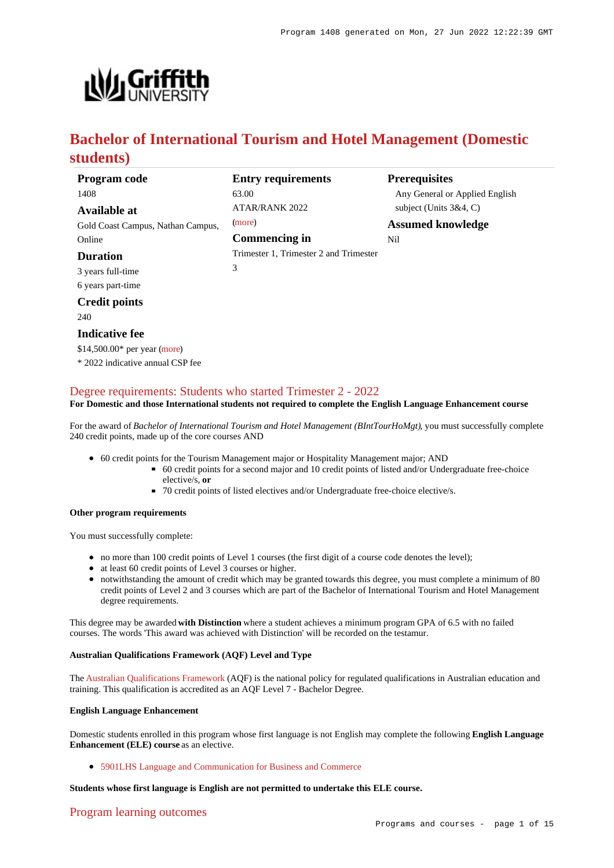

# **Bachelor of International Tourism and Hotel Management (Domestic students)**

| Program code                      | <b>Entry requirements</b>              | <b>Prerequisites</b>           |
|-----------------------------------|----------------------------------------|--------------------------------|
| 1408                              | 63.00                                  | Any General or Applied English |
| Available at                      | <b>ATAR/RANK 2022</b>                  | subject (Units $3&4, C$ )      |
| Gold Coast Campus, Nathan Campus, | (more)                                 | <b>Assumed knowledge</b>       |
| Online                            | <b>Commencing in</b>                   | Nil                            |
| <b>Duration</b>                   | Trimester 1, Trimester 2 and Trimester |                                |
| 3 years full-time                 | 3                                      |                                |
| 6 years part-time                 |                                        |                                |
| <b>Credit points</b>              |                                        |                                |
| 240                               |                                        |                                |
| <b>Indicative fee</b>             |                                        |                                |
| $$14,500.00*$ per year (more)     |                                        |                                |
| * 2022 indicative annual CSP fee  |                                        |                                |

### [Degree requirements: Students who started Trimester 2 - 2022](https://www148.griffith.edu.au/programs-courses/Program/1408/Courses/Domestic#degree-requirements)

#### **For Domestic and those International students not required to complete the English Language Enhancement course**

For the award of *Bachelor of International Tourism and Hotel Management (BIntTourHoMgt)*, you must successfully complete 240 credit points, made up of the core courses AND

- 60 credit points for the Tourism Management major or Hospitality Management major; AND
	- 60 credit points for a second major and 10 credit points of listed and/or Undergraduate free-choice elective/s, **or**
	- 70 credit points of listed electives and/or Undergraduate free-choice elective/s.

#### **Other program requirements**

You must successfully complete:

- no more than 100 credit points of Level 1 courses (the first digit of a course code denotes the level);
- at least 60 credit points of Level 3 courses or higher.
- notwithstanding the amount of credit which may be granted towards this degree, you must complete a minimum of 80 credit points of Level 2 and 3 courses which are part of the Bachelor of International Tourism and Hotel Management degree requirements.

This degree may be awarded **with Distinction** where a student achieves a minimum program GPA of 6.5 with no failed courses. The words 'This award was achieved with Distinction' will be recorded on the testamur.

#### **Australian Qualifications Framework (AQF) Level and Type**

The [Australian Qualifications Framework](http://www.aqf.edu.au/) (AQF) is the national policy for regulated qualifications in Australian education and training. This qualification is accredited as an AQF Level 7 - Bachelor Degree.

#### **English Language Enhancement**

Domestic students enrolled in this program whose first language is not English may complete the following **English Language Enhancement (ELE) course** as an elective.

[5901LHS Language and Communication for Business and Commerce](https://www148.griffith.edu.au/Course/5901LHS)

#### **Students whose first language is English are not permitted to undertake this ELE course.**

#### [Program learning outcomes](https://www148.griffith.edu.au/programs-courses/Program/1408/Courses/Domestic#programLearningOutcomes)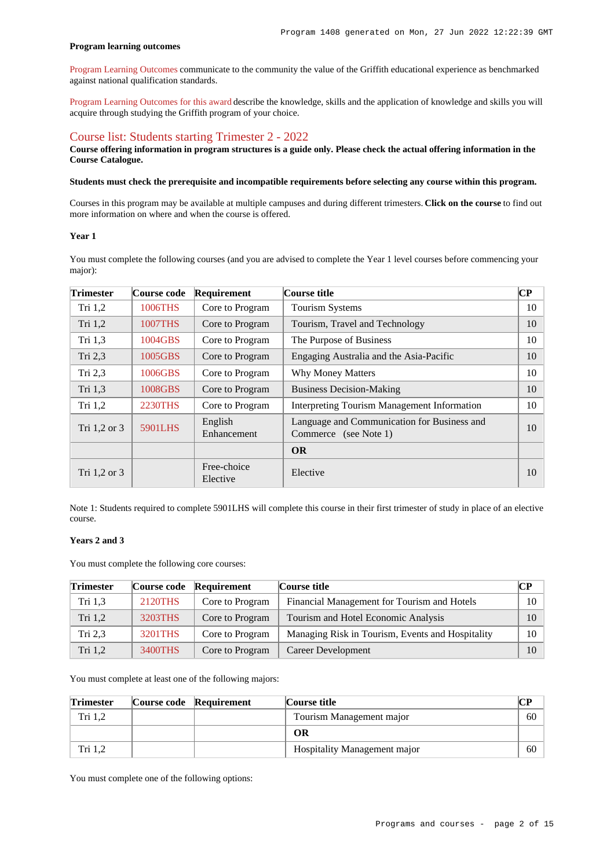#### **Program learning outcomes**

[Program Learning Outcomes](https://www.griffith.edu.au/__data/assets/pdf_file/0017/134522/PLO-general-advice.pdf) communicate to the community the value of the Griffith educational experience as benchmarked against national qualification standards.

[Program Learning Outcomes for this award](https://www.griffith.edu.au/__data/assets/pdf_file/0025/295513/BIntnternational-Tourism-Hotel-Mgt-PLO-L7.pdf) describe the knowledge, skills and the application of knowledge and skills you will acquire through studying the Griffith program of your choice.

### [Course list: Students starting Trimester 2 - 2022](https://www148.griffith.edu.au/programs-courses/Program/1408/Courses/Domestic#course-list-content)

**Course offering information in program structures is a guide only. Please check the actual offering information in the Course Catalogue.**

#### **Students must check the prerequisite and incompatible requirements before selecting any course within this program.**

Courses in this program may be available at multiple campuses and during different trimesters. **Click on the course** to find out more information on where and when the course is offered.

#### **Year 1**

You must complete the following courses (and you are advised to complete the Year 1 level courses before commencing your major):

| <b>Trimester</b> | Course code    | Requirement             | Course title                                                         | $\overline{\mathbf{CP}}$ |
|------------------|----------------|-------------------------|----------------------------------------------------------------------|--------------------------|
| Tri $1,2$        | 1006THS        | Core to Program         | <b>Tourism Systems</b>                                               | 10                       |
| Tri 1,2          | <b>1007THS</b> | Core to Program         | Tourism, Travel and Technology                                       | 10                       |
| Tri $1,3$        | 1004GBS        | Core to Program         | The Purpose of Business                                              | 10                       |
| Tri $2,3$        | 1005GBS        | Core to Program         | Engaging Australia and the Asia-Pacific                              | 10                       |
| Tri 2,3          | 1006GBS        | Core to Program         | <b>Why Money Matters</b>                                             | 10                       |
| Tri $1,3$        | 1008GBS        | Core to Program         | <b>Business Decision-Making</b>                                      | 10                       |
| Tri $1,2$        | 2230THS        | Core to Program         | <b>Interpreting Tourism Management Information</b>                   | 10                       |
| Tri 1,2 or 3     | 5901LHS        | English<br>Enhancement  | Language and Communication for Business and<br>Commerce (see Note 1) | 10                       |
|                  |                |                         | <b>OR</b>                                                            |                          |
| Tri 1,2 or 3     |                | Free-choice<br>Elective | Elective                                                             | 10                       |

Note 1: Students required to complete 5901LHS will complete this course in their first trimester of study in place of an elective course.

#### **Years 2 and 3**

You must complete the following core courses:

| <b>Trimester</b> | Course code | Requirement     | Course title                                     | $\mathbf{C}\mathbf{P}$ |
|------------------|-------------|-----------------|--------------------------------------------------|------------------------|
| Tri 1.3          | 2120THS     | Core to Program | Financial Management for Tourism and Hotels      | 10                     |
| Tri $1,2$        | 3203THS     | Core to Program | Tourism and Hotel Economic Analysis              | 10                     |
| Tri 2,3          | 3201THS     | Core to Program | Managing Risk in Tourism, Events and Hospitality | 10                     |
| Tri 1,2          | 3400THS     | Core to Program | Career Development                               | 10                     |

You must complete at least one of the following majors:

| <b>Trimester</b> | Course code Requirement | Course title                        |    |
|------------------|-------------------------|-------------------------------------|----|
| Tri 1.2          |                         | Tourism Management major            | 60 |
|                  |                         | OR                                  |    |
| Tri 1.2          |                         | <b>Hospitality Management major</b> | 60 |

You must complete one of the following options: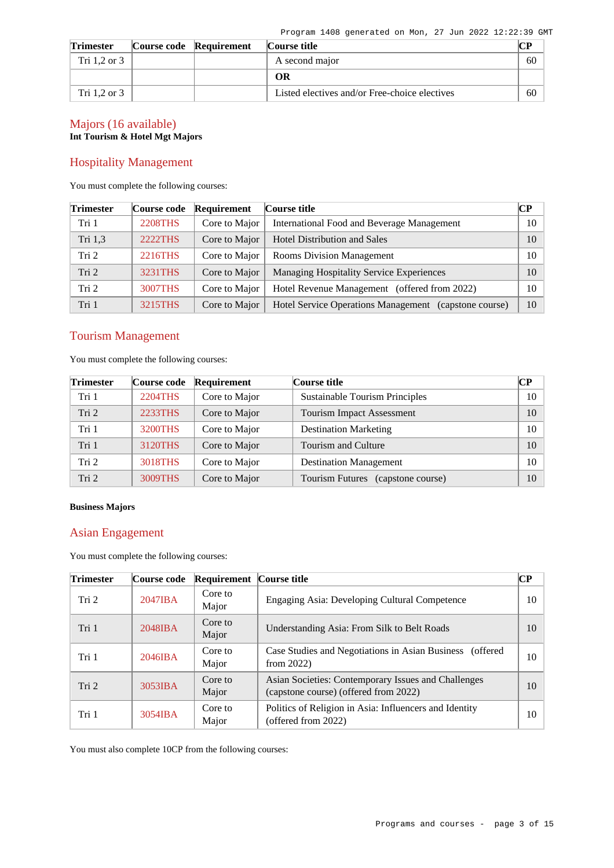| <b>Trimester</b> | Course code Requirement | Course title                                  | CР |
|------------------|-------------------------|-----------------------------------------------|----|
| Tri 1.2 or 3     |                         | A second major                                | 60 |
|                  |                         | OR                                            |    |
| Tri 1.2 or 3     |                         | Listed electives and/or Free-choice electives | 60 |

### Majors (16 available) **Int Tourism & Hotel Mgt Majors**

### Hospitality Management

You must complete the following courses:

| <b>Trimester</b> | Course code    | Requirement   | Course title                                          | $\bf CP$ |
|------------------|----------------|---------------|-------------------------------------------------------|----------|
| Tri 1            | <b>2208THS</b> | Core to Major | International Food and Beverage Management            | 10       |
| Tri 1,3          | 2222THS        | Core to Major | <b>Hotel Distribution and Sales</b>                   | 10       |
| Tri 2            | 2216THS        | Core to Major | <b>Rooms Division Management</b>                      | 10       |
| Tri <sub>2</sub> | 3231THS        | Core to Major | Managing Hospitality Service Experiences              | 10       |
| Tri <sub>2</sub> | 3007THS        | Core to Major | Hotel Revenue Management (offered from 2022)          | 10       |
| Tri 1            | 3215THS        | Core to Major | Hotel Service Operations Management (capstone course) | 10       |

### Tourism Management

You must complete the following courses:

| <b>Trimester</b> | Course code | Requirement   | Course title                                | $\bf CP$ |
|------------------|-------------|---------------|---------------------------------------------|----------|
| Tri 1            | 2204THS     | Core to Major | <b>Sustainable Tourism Principles</b>       | 10       |
| Tri 2            | 2233THS     | Core to Major | <b>Tourism Impact Assessment</b>            | 10       |
| Tri 1            | 3200THS     | Core to Major | <b>Destination Marketing</b>                | 10       |
| Tri 1            | 3120THS     | Core to Major | Tourism and Culture                         | 10       |
| Tri 2            | 3018THS     | Core to Major | <b>Destination Management</b>               | $10-10$  |
| Tri 2            | 3009THS     | Core to Major | <b>Tourism Futures</b><br>(capstone course) | 10       |

#### **Business Majors**

### Asian Engagement

You must complete the following courses:

| <b>Trimester</b> | Course code | <b>Requirement</b> Course title |                                                                                              | CР |
|------------------|-------------|---------------------------------|----------------------------------------------------------------------------------------------|----|
| Tri 2            | $2047$ IBA  | Core to<br>Major                | Engaging Asia: Developing Cultural Competence                                                | 10 |
| Tri 1            | $2048$ IBA  | Core to<br>Major                | Understanding Asia: From Silk to Belt Roads                                                  | 10 |
| Tri 1            | $2046$ IBA  | Core to<br>Major                | Case Studies and Negotiations in Asian Business (offered<br>from $2022$ )                    | 10 |
| Tri 2            | 3053IBA     | Core to<br>Major                | Asian Societies: Contemporary Issues and Challenges<br>(capstone course) (offered from 2022) | 10 |
| Tri 1            | $3054$ IBA  | Core to<br>Major                | Politics of Religion in Asia: Influencers and Identity<br>(offered from 2022)                | 10 |

You must also complete 10CP from the following courses: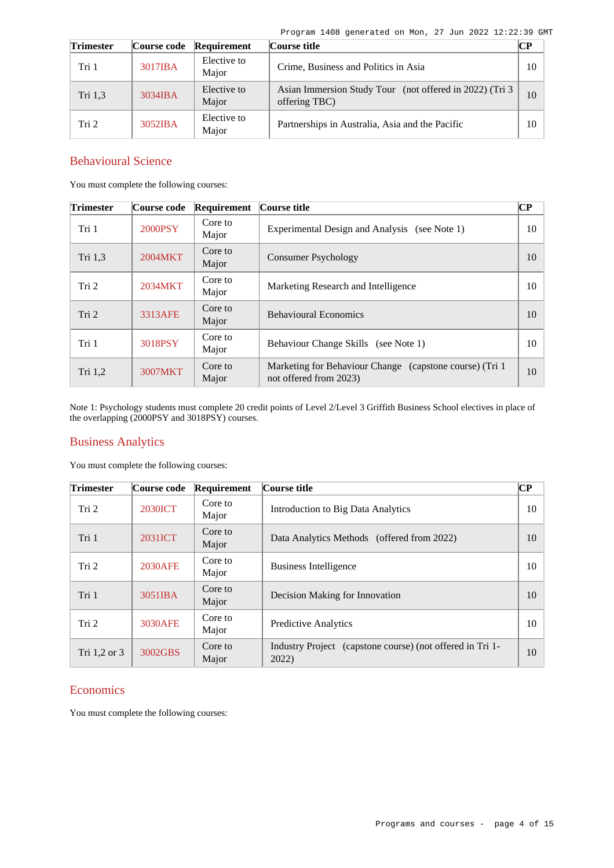Program 1408 generated on Mon, 27 Jun 2022 12:22:39 GMT

| <b>Trimester</b> | Course code | Requirement          | Course title                                                              | $\bf CP$ |
|------------------|-------------|----------------------|---------------------------------------------------------------------------|----------|
| Tri 1            | 3017IBA     | Elective to<br>Major | Crime, Business and Politics in Asia                                      | 10       |
| Tri 1.3          | 3034IBA     | Elective to<br>Major | Asian Immersion Study Tour (not offered in 2022) (Tri 3)<br>offering TBC) | 10       |
| Tri 2            | 3052IBA     | Elective to<br>Major | Partnerships in Australia, Asia and the Pacific                           | 10       |

### Behavioural Science

You must complete the following courses:

| <b>Trimester</b> | Course code | Requirement      | Course title                                                                       | CР |
|------------------|-------------|------------------|------------------------------------------------------------------------------------|----|
| Tri 1            | 2000PSY     | Core to<br>Major | Experimental Design and Analysis<br>(see Note 1)                                   | 10 |
| Tri 1,3          | 2004MKT     | Core to<br>Major | <b>Consumer Psychology</b>                                                         | 10 |
| Tri 2            | 2034MKT     | Core to<br>Major | Marketing Research and Intelligence                                                | 10 |
| Tri 2            | 3313AFE     | Core to<br>Major | <b>Behavioural Economics</b>                                                       | 10 |
| Tri 1            | 3018PSY     | Core to<br>Major | Behaviour Change Skills (see Note 1)                                               | 10 |
| Tri 1,2          | 3007MKT     | Core to<br>Major | Marketing for Behaviour Change (capstone course) (Tri 1)<br>not offered from 2023) | 10 |

Note 1: Psychology students must complete 20 credit points of Level 2/Level 3 Griffith Business School electives in place of the overlapping (2000PSY and 3018PSY) courses.

### Business Analytics

You must complete the following courses:

| <b>Trimester</b> | Course code    | Requirement      | Course title                                                       | $\overline{\mathbf{CP}}$ |
|------------------|----------------|------------------|--------------------------------------------------------------------|--------------------------|
| Tri 2            | <b>2030ICT</b> | Core to<br>Major | Introduction to Big Data Analytics                                 | 10                       |
| Tri 1            | 2031ICT        | Core to<br>Major | Data Analytics Methods (offered from 2022)                         | 10                       |
| Tri 2            | 2030AFE        | Core to<br>Major | Business Intelligence                                              | 10                       |
| Tri 1            | 3051IBA        | Core to<br>Major | Decision Making for Innovation                                     | 10                       |
| Tri 2            | 3030AFE        | Core to<br>Major | <b>Predictive Analytics</b>                                        | 10                       |
| Tri $1,2$ or $3$ | 3002GBS        | Core to<br>Major | Industry Project (capstone course) (not offered in Tri 1-<br>2022) | 10                       |

### **Economics**

You must complete the following courses: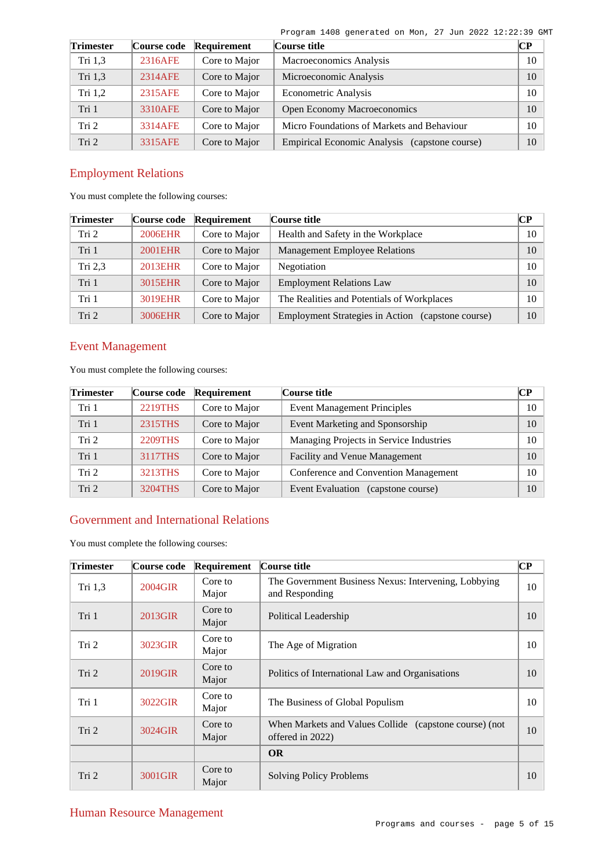Program 1408 generated on Mon, 27 Jun 2022 12:22:39 GMT

| <b>Trimester</b> | Course code | Requirement   | Course title                                  | CР |
|------------------|-------------|---------------|-----------------------------------------------|----|
| Tri 1,3          | 2316AFE     | Core to Major | Macroeconomics Analysis                       | 10 |
| Tri 1,3          | 2314AFE     | Core to Major | Microeconomic Analysis                        | 10 |
| Tri $1,2$        | 2315AFE     | Core to Major | Econometric Analysis                          | 10 |
| Tri 1            | 3310AFE     | Core to Major | <b>Open Economy Macroeconomics</b>            | 10 |
| Tri 2            | 3314AFE     | Core to Major | Micro Foundations of Markets and Behaviour    | 10 |
| Tri <sub>2</sub> | 3315AFE     | Core to Major | Empirical Economic Analysis (capstone course) | 10 |

## Employment Relations

You must complete the following courses:

| <b>Trimester</b> | Course code    | Requirement   | Course title                                      | CР     |
|------------------|----------------|---------------|---------------------------------------------------|--------|
| Tri 2            | <b>2006EHR</b> | Core to Major | Health and Safety in the Workplace                | $10-1$ |
| Tri 1            | 2001EHR        | Core to Major | <b>Management Employee Relations</b>              | 10     |
| Tri $2,3$        | 2013EHR        | Core to Major | Negotiation                                       | 10     |
| Tri 1            | 3015EHR        | Core to Major | <b>Employment Relations Law</b>                   | 10     |
| Tri 1            | 3019EHR        | Core to Major | The Realities and Potentials of Workplaces        | 10     |
| Tri <sub>2</sub> | 3006EHR        | Core to Major | Employment Strategies in Action (capstone course) | 10     |

## Event Management

You must complete the following courses:

| <b>Trimester</b> | Course code    | Requirement   | Course title                            |    |  |  |
|------------------|----------------|---------------|-----------------------------------------|----|--|--|
| Tri 1            | <b>2219THS</b> | Core to Major | <b>Event Management Principles</b>      | 10 |  |  |
| Tri 1            | 2315THS        | Core to Major | Event Marketing and Sponsorship         | 10 |  |  |
| Tri <sub>2</sub> | 2209THS        | Core to Major | Managing Projects in Service Industries | 10 |  |  |
| Tri 1            | 3117THS        | Core to Major | Facility and Venue Management           | 10 |  |  |
| Tri <sub>2</sub> | 3213THS        | Core to Major | Conference and Convention Management    | 10 |  |  |
| Tri 2            | 3204THS        | Core to Major | Event Evaluation<br>(capstone course)   | 10 |  |  |

### Government and International Relations

You must complete the following courses:

| <b>Trimester</b> | Course code | Requirement      | Course title                                                               | $\overline{\mathbf{C}\mathbf{P}}$ |
|------------------|-------------|------------------|----------------------------------------------------------------------------|-----------------------------------|
| Tri $1,3$        | 2004GIR     | Core to<br>Major | The Government Business Nexus: Intervening, Lobbying<br>and Responding     | 10                                |
| Tri 1            | 2013GIR     | Core to<br>Major | Political Leadership                                                       | 10                                |
| Tri 2            | 3023GIR     | Core to<br>Major | The Age of Migration                                                       | 10                                |
| Tri <sub>2</sub> | 2019GIR     | Core to<br>Major | Politics of International Law and Organisations                            | 10                                |
| Tri 1            | 3022GIR     | Core to<br>Major | The Business of Global Populism                                            | 10                                |
| Tri 2            | 3024GIR     | Core to<br>Major | When Markets and Values Collide (capstone course) (not<br>offered in 2022) | 10                                |
|                  |             |                  | <b>OR</b>                                                                  |                                   |
| Tri 2            | 3001GIR     | Core to<br>Major | <b>Solving Policy Problems</b>                                             | 10                                |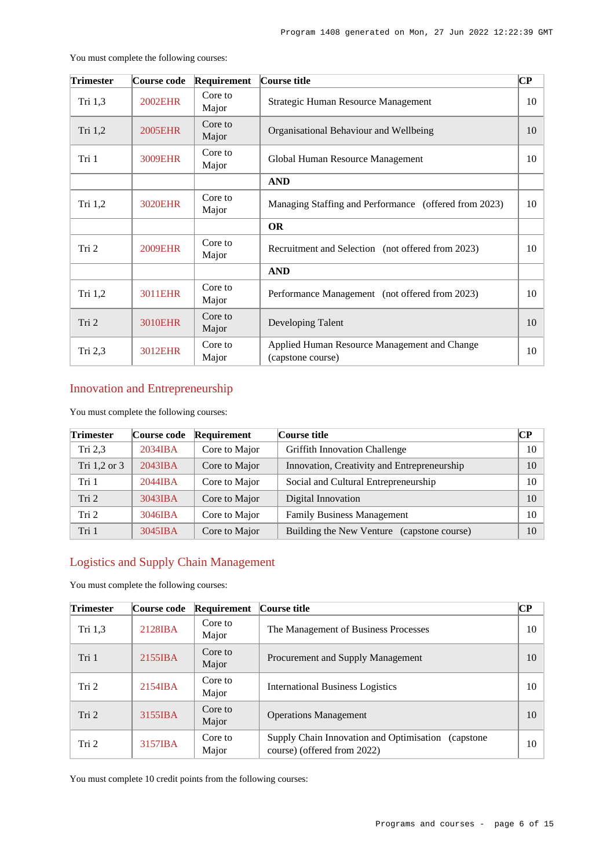| <b>Trimester</b> | Course code    | Requirement      | Course title                                                      |    |  |
|------------------|----------------|------------------|-------------------------------------------------------------------|----|--|
| Tri 1,3          | <b>2002EHR</b> | Core to<br>Major | Strategic Human Resource Management                               | 10 |  |
| Tri 1,2          | <b>2005EHR</b> | Core to<br>Major | Organisational Behaviour and Wellbeing                            | 10 |  |
| Tri 1            | 3009EHR        | Core to<br>Major | Global Human Resource Management                                  | 10 |  |
|                  |                |                  | <b>AND</b>                                                        |    |  |
| Tri $1,2$        | <b>3020EHR</b> | Core to<br>Major | Managing Staffing and Performance (offered from 2023)             | 10 |  |
|                  |                |                  | <b>OR</b>                                                         |    |  |
| Tri 2            | <b>2009EHR</b> | Core to<br>Major | Recruitment and Selection (not offered from 2023)                 | 10 |  |
|                  |                |                  | <b>AND</b>                                                        |    |  |
| Tri 1,2          | 3011EHR        | Core to<br>Major | Performance Management (not offered from 2023)                    | 10 |  |
| Tri 2            | <b>3010EHR</b> | Core to<br>Major | Developing Talent                                                 | 10 |  |
| Tri 2,3          | 3012EHR        | Core to<br>Major | Applied Human Resource Management and Change<br>(capstone course) |    |  |

You must complete the following courses:

## Innovation and Entrepreneurship

You must complete the following courses:

| <b>Trimester</b> | Course code | Requirement   | $\mathbb{C}\mathbb{P}$<br>Course title      |    |  |  |  |
|------------------|-------------|---------------|---------------------------------------------|----|--|--|--|
| Tri $2,3$        | $2034$ IBA  | Core to Major | <b>Griffith Innovation Challenge</b>        | 10 |  |  |  |
| Tri 1,2 or 3     | $2043$ IBA  | Core to Major | Innovation, Creativity and Entrepreneurship | 10 |  |  |  |
| Tri 1            | 2044IBA     | Core to Major | Social and Cultural Entrepreneurship        | 10 |  |  |  |
| Tri 2            | 3043IBA     | Core to Major | Digital Innovation                          | 10 |  |  |  |
| Tri 2            | 3046IBA     | Core to Major | <b>Family Business Management</b>           | 10 |  |  |  |
| Tri 1            | 3045IBA     | Core to Major | Building the New Venture (capstone course)  | 10 |  |  |  |

## Logistics and Supply Chain Management

You must complete the following courses:

| <b>Trimester</b> | Course code | Requirement      | Course title                                                                       | CР |
|------------------|-------------|------------------|------------------------------------------------------------------------------------|----|
| Tri $1,3$        | 2128IBA     | Core to<br>Major | The Management of Business Processes                                               | 10 |
| Tri 1            | 2155IBA     | Core to<br>Major | Procurement and Supply Management                                                  | 10 |
| Tri 2            | $2154$ IBA  | Core to<br>Major | <b>International Business Logistics</b>                                            | 10 |
| Tri 2            | 3155IBA     | Core to<br>Major | <b>Operations Management</b>                                                       | 10 |
| Tri 2            | 3157IBA     | Core to<br>Major | Supply Chain Innovation and Optimisation (capstone)<br>course) (offered from 2022) | 10 |

You must complete 10 credit points from the following courses: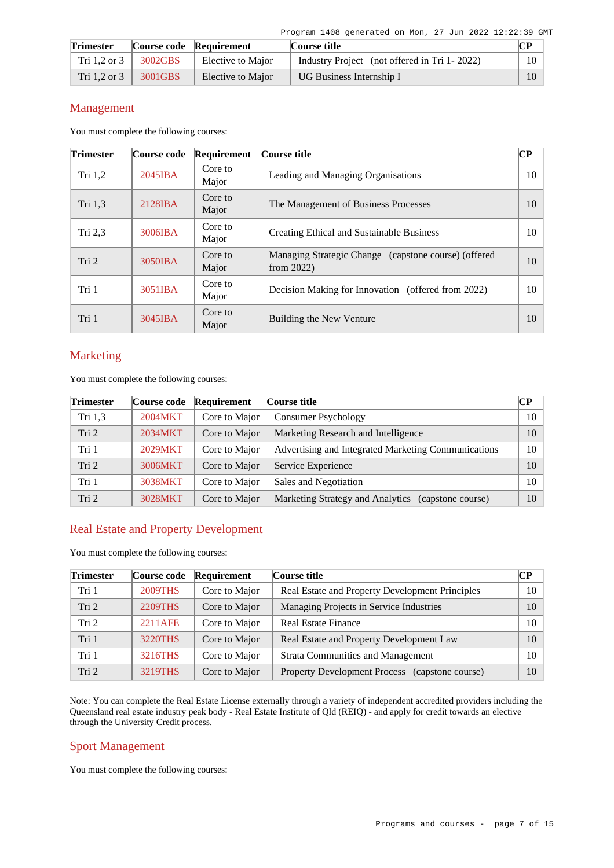| <b>Trimester</b> |         | Course code Requirement | Course title                                 |    |
|------------------|---------|-------------------------|----------------------------------------------|----|
| Tri 1,2 or 3     | 3002GBS | Elective to Major       | Industry Project (not offered in Tri 1-2022) | 10 |
| Tri $1.2$ or $3$ | 3001GBS | Elective to Major       | UG Business Internship I                     | 10 |

### Management

You must complete the following courses:

| <b>Trimester</b> | Course code       | Requirement      | Course title                                                          | $\bf CP$ |
|------------------|-------------------|------------------|-----------------------------------------------------------------------|----------|
| Tri $1,2$        | $2045$ <b>IBA</b> | Core to<br>Major | Leading and Managing Organisations                                    | 10       |
| Tri 1,3          | 2128IBA           | Core to<br>Major | The Management of Business Processes                                  | 10       |
| Tri $2,3$        | 3006IBA           | Core to<br>Major | Creating Ethical and Sustainable Business                             | 10       |
| Tri 2            | 3050IBA           | Core to<br>Major | Managing Strategic Change (capstone course) (offered<br>from $2022$ ) | 10       |
| Tri 1            | 3051IBA           | Core to<br>Major | Decision Making for Innovation (offered from 2022)                    | 10       |
| Tri 1            | $3045$ IBA        | Core to<br>Major | Building the New Venture                                              | 10       |

### Marketing

You must complete the following courses:

| <b>Trimester</b> | Course code | Requirement   | Course title                                        | CP. |
|------------------|-------------|---------------|-----------------------------------------------------|-----|
| Tri 1,3          | 2004MKT     | Core to Major | <b>Consumer Psychology</b>                          | 10  |
| Tri <sub>2</sub> | 2034MKT     | Core to Major | Marketing Research and Intelligence                 | 10  |
| Tri 1            | 2029MKT     | Core to Major | Advertising and Integrated Marketing Communications | 10  |
| Tri <sub>2</sub> | 3006MKT     | Core to Major | Service Experience                                  | 10  |
| Tri 1            | 3038MKT     | Core to Major | Sales and Negotiation                               | 10  |
| Tri <sub>2</sub> | 3028MKT     | Core to Major | Marketing Strategy and Analytics (capstone course)  | 10  |

### Real Estate and Property Development

You must complete the following courses:

| <b>Trimester</b> | Course code    | Requirement   | Course title                                    | <b>CP</b> |
|------------------|----------------|---------------|-------------------------------------------------|-----------|
| Tri 1            | <b>2009THS</b> | Core to Major | Real Estate and Property Development Principles | 10        |
| Tri 2            | 2209THS        | Core to Major | Managing Projects in Service Industries         | 10        |
| Tri 2            | 2211AFE        | Core to Major | <b>Real Estate Finance</b>                      | 10        |
| Tri 1            | 3220THS        | Core to Major | Real Estate and Property Development Law        | 10        |
| Tri 1            | 3216THS        | Core to Major | <b>Strata Communities and Management</b>        | 10        |
| Tri 2            | 3219THS        | Core to Major | Property Development Process (capstone course)  | 10        |

Note: You can complete the Real Estate License externally through a variety of independent accredited providers including the Queensland real estate industry peak body - Real Estate Institute of Qld (REIQ) - and apply for credit towards an elective through the University Credit process.

### Sport Management

You must complete the following courses: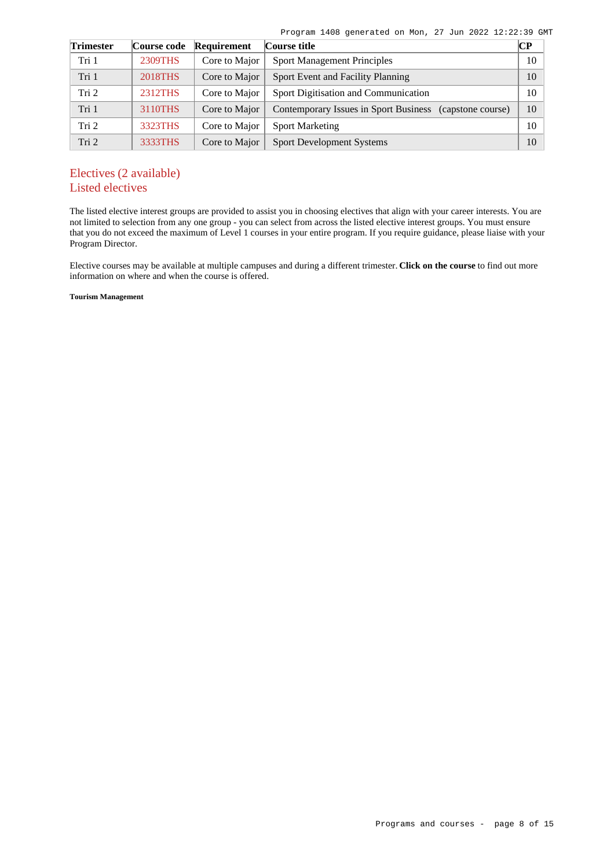|  |  | Program 1408 generated on Mon, 27 Jun 2022 12:22:39 GMT |  |  |  |  |  |  |  |
|--|--|---------------------------------------------------------|--|--|--|--|--|--|--|
|--|--|---------------------------------------------------------|--|--|--|--|--|--|--|

| <b>Trimester</b> | Course code    | Requirement   | Course title                                               | $\mathbb{C}\mathbb{P}$ |
|------------------|----------------|---------------|------------------------------------------------------------|------------------------|
| Tri 1            | 2309THS        | Core to Major | <b>Sport Management Principles</b>                         | 10                     |
| Tri 1            | <b>2018THS</b> | Core to Major | Sport Event and Facility Planning                          | 10                     |
| Tri 2            | 2312THS        | Core to Major | Sport Digitisation and Communication                       | 10                     |
| Tri 1            | 3110THS        | Core to Major | Contemporary Issues in Sport Business<br>(capstone course) | 10                     |
| Tri 2            | 3323THS        | Core to Major | <b>Sport Marketing</b>                                     | 10                     |
| Tri 2            | 3333THS        | Core to Major | <b>Sport Development Systems</b>                           | 10                     |

## Electives (2 available) Listed electives

The listed elective interest groups are provided to assist you in choosing electives that align with your career interests. You are not limited to selection from any one group - you can select from across the listed elective interest groups. You must ensure that you do not exceed the maximum of Level 1 courses in your entire program. If you require guidance, please liaise with your Program Director.

Elective courses may be available at multiple campuses and during a different trimester. **Click on the course** to find out more information on where and when the course is offered.

**Tourism Management**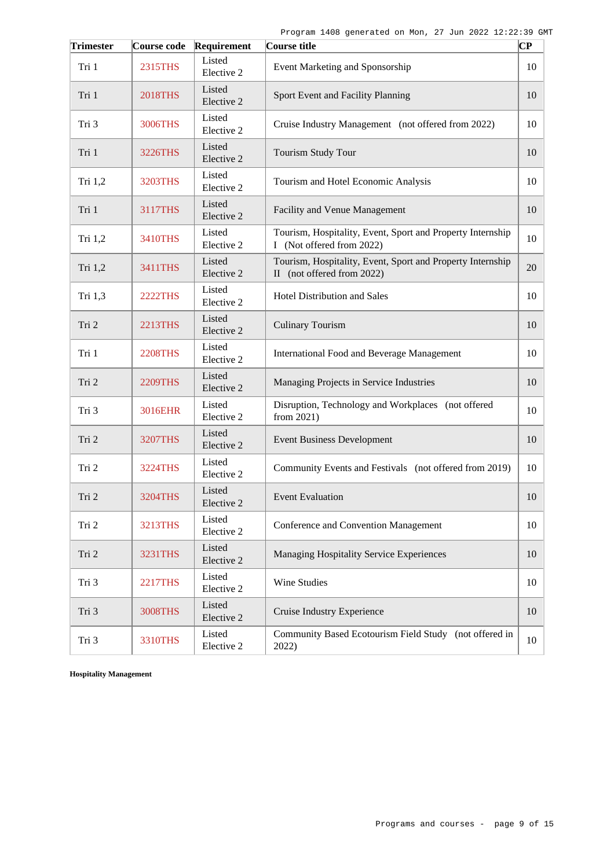| <b>Trimester</b> | Course code    | Requirement          | Course title                                                                             | $\overline{\mathbf{C}\mathbf{P}}$ |
|------------------|----------------|----------------------|------------------------------------------------------------------------------------------|-----------------------------------|
| Tri 1            | 2315THS        | Listed<br>Elective 2 | Event Marketing and Sponsorship                                                          | 10                                |
| Tri 1            | <b>2018THS</b> | Listed<br>Elective 2 | Sport Event and Facility Planning                                                        | 10                                |
| Tri 3            | 3006THS        | Listed<br>Elective 2 | Cruise Industry Management (not offered from 2022)                                       | 10                                |
| Tri 1            | 3226THS        | Listed<br>Elective 2 | Tourism Study Tour                                                                       | 10                                |
| Tri 1,2          | 3203THS        | Listed<br>Elective 2 | Tourism and Hotel Economic Analysis                                                      | 10                                |
| Tri 1            | 3117THS        | Listed<br>Elective 2 | Facility and Venue Management                                                            | 10                                |
| Tri 1,2          | 3410THS        | Listed<br>Elective 2 | Tourism, Hospitality, Event, Sport and Property Internship<br>I (Not offered from 2022)  | 10                                |
| Tri 1,2          | 3411THS        | Listed<br>Elective 2 | Tourism, Hospitality, Event, Sport and Property Internship<br>II (not offered from 2022) | 20                                |
| Tri 1,3          | <b>2222THS</b> | Listed<br>Elective 2 | <b>Hotel Distribution and Sales</b>                                                      | 10                                |
| Tri 2            | 2213THS        | Listed<br>Elective 2 | <b>Culinary Tourism</b>                                                                  | 10                                |
| Tri 1            | <b>2208THS</b> | Listed<br>Elective 2 | <b>International Food and Beverage Management</b>                                        | 10                                |
| Tri 2            | <b>2209THS</b> | Listed<br>Elective 2 | Managing Projects in Service Industries                                                  | 10                                |
| Tri 3            | 3016EHR        | Listed<br>Elective 2 | Disruption, Technology and Workplaces (not offered<br>from $2021$ )                      | 10                                |
| Tri 2            | <b>3207THS</b> | Listed<br>Elective 2 | <b>Event Business Development</b>                                                        | 10                                |
| Tri 2            | 3224THS        | Listed<br>Elective 2 | Community Events and Festivals (not offered from 2019)                                   | 10                                |
| Tri 2            | 3204THS        | Listed<br>Elective 2 | <b>Event Evaluation</b>                                                                  | 10                                |
| Tri 2            | 3213THS        | Listed<br>Elective 2 | Conference and Convention Management                                                     | 10                                |
| Tri 2            | 3231THS        | Listed<br>Elective 2 | Managing Hospitality Service Experiences                                                 | 10                                |
| Tri 3            | <b>2217THS</b> | Listed<br>Elective 2 | Wine Studies                                                                             | 10                                |
| Tri 3            | <b>3008THS</b> | Listed<br>Elective 2 | Cruise Industry Experience                                                               | 10                                |
| Tri 3            | 3310THS        | Listed<br>Elective 2 | Community Based Ecotourism Field Study (not offered in<br>2022)                          | 10                                |

**Hospitality Management**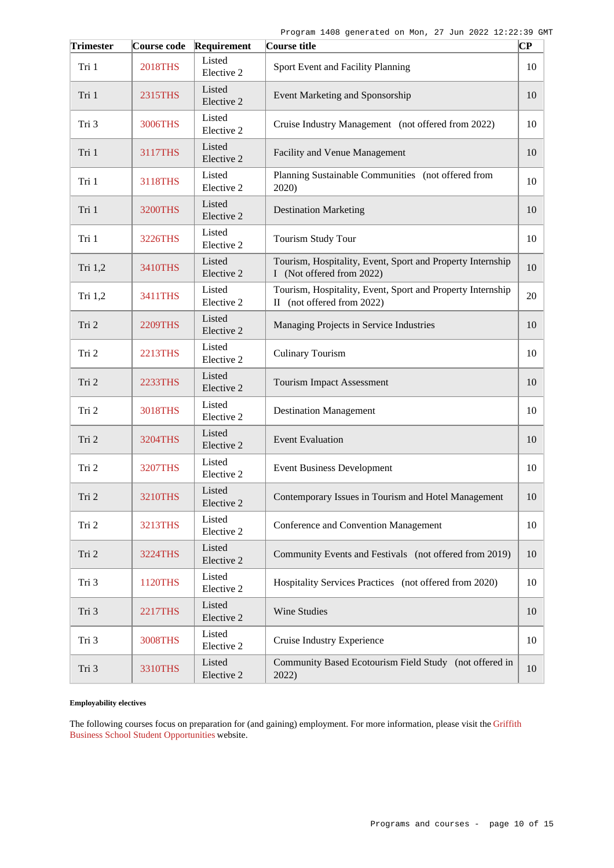| <b>Trimester</b> | Course code    | Requirement          | Course title                                                                             | $\overline{\mathbf{C}\mathbf{P}}$ |
|------------------|----------------|----------------------|------------------------------------------------------------------------------------------|-----------------------------------|
| Tri 1            | <b>2018THS</b> | Listed<br>Elective 2 | Sport Event and Facility Planning                                                        | 10                                |
| Tri 1            | 2315THS        | Listed<br>Elective 2 | Event Marketing and Sponsorship                                                          | 10                                |
| Tri 3            | 3006THS        | Listed<br>Elective 2 | Cruise Industry Management (not offered from 2022)                                       | 10                                |
| Tri 1            | 3117THS        | Listed<br>Elective 2 | Facility and Venue Management                                                            | 10                                |
| Tri 1            | 3118THS        | Listed<br>Elective 2 | Planning Sustainable Communities (not offered from<br>2020)                              | 10                                |
| Tri 1            | <b>3200THS</b> | Listed<br>Elective 2 | <b>Destination Marketing</b>                                                             | 10                                |
| Tri 1            | 3226THS        | Listed<br>Elective 2 | <b>Tourism Study Tour</b>                                                                | 10                                |
| Tri 1,2          | 3410THS        | Listed<br>Elective 2 | Tourism, Hospitality, Event, Sport and Property Internship<br>I (Not offered from 2022)  | 10                                |
| Tri 1,2          | 3411THS        | Listed<br>Elective 2 | Tourism, Hospitality, Event, Sport and Property Internship<br>II (not offered from 2022) | 20                                |
| Tri 2            | <b>2209THS</b> | Listed<br>Elective 2 | Managing Projects in Service Industries                                                  | 10                                |
| Tri 2            | 2213THS        | Listed<br>Elective 2 | <b>Culinary Tourism</b>                                                                  | 10                                |
| Tri 2            | 2233THS        | Listed<br>Elective 2 | <b>Tourism Impact Assessment</b>                                                         | 10                                |
| Tri 2            | <b>3018THS</b> | Listed<br>Elective 2 | <b>Destination Management</b>                                                            | 10                                |
| Tri 2            | 3204THS        | Listed<br>Elective 2 | <b>Event Evaluation</b>                                                                  | 10                                |
| Tri 2            | <b>3207THS</b> | Listed<br>Elective 2 | <b>Event Business Development</b>                                                        | 10                                |
| Tri 2            | 3210THS        | Listed<br>Elective 2 | Contemporary Issues in Tourism and Hotel Management                                      | 10                                |
| Tri 2            | <b>3213THS</b> | Listed<br>Elective 2 | Conference and Convention Management                                                     | 10                                |
| Tri 2            | 3224THS        | Listed<br>Elective 2 | Community Events and Festivals (not offered from 2019)                                   | 10                                |
| Tri 3            | 1120THS        | Listed<br>Elective 2 | Hospitality Services Practices (not offered from 2020)                                   | 10                                |
| Tri 3            | <b>2217THS</b> | Listed<br>Elective 2 | Wine Studies                                                                             | 10                                |
| Tri 3            | <b>3008THS</b> | Listed<br>Elective 2 | Cruise Industry Experience                                                               | 10                                |
| Tri 3            | 3310THS        | Listed<br>Elective 2 | Community Based Ecotourism Field Study (not offered in<br>2022)                          | 10                                |

#### **Employability electives**

The following courses focus on preparation for (and gaining) employment. For more information, please visit the [Griffith](https://www.griffith.edu.au/griffith-business-school/student-opportunities) [Business School Student Opportunities](https://www.griffith.edu.au/griffith-business-school/student-opportunities) website.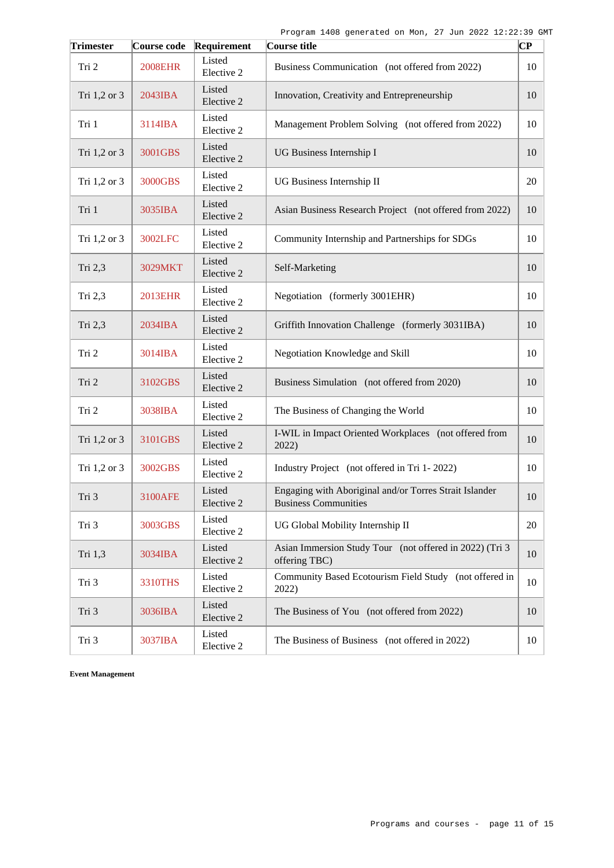| <b>Trimester</b> | Course code    | Requirement          | Course title                                                                          | $\overline{\mathbf{C}\mathbf{P}}$ |
|------------------|----------------|----------------------|---------------------------------------------------------------------------------------|-----------------------------------|
| Tri 2            | <b>2008EHR</b> | Listed<br>Elective 2 | Business Communication (not offered from 2022)                                        | 10                                |
| Tri 1,2 or 3     | 2043IBA        | Listed<br>Elective 2 | Innovation, Creativity and Entrepreneurship                                           | 10                                |
| Tri 1            | 3114IBA        | Listed<br>Elective 2 | Management Problem Solving (not offered from 2022)                                    | 10                                |
| Tri 1,2 or 3     | 3001GBS        | Listed<br>Elective 2 | UG Business Internship I                                                              | 10                                |
| Tri 1,2 or 3     | 3000GBS        | Listed<br>Elective 2 | UG Business Internship II                                                             | 20                                |
| Tri 1            | 3035IBA        | Listed<br>Elective 2 | Asian Business Research Project (not offered from 2022)                               | 10                                |
| Tri 1,2 or 3     | 3002LFC        | Listed<br>Elective 2 | Community Internship and Partnerships for SDGs                                        | 10                                |
| Tri 2,3          | 3029MKT        | Listed<br>Elective 2 | Self-Marketing                                                                        | 10                                |
| Tri 2,3          | 2013EHR        | Listed<br>Elective 2 | Negotiation (formerly 3001EHR)                                                        | 10                                |
| Tri 2,3          | 2034IBA        | Listed<br>Elective 2 | Griffith Innovation Challenge (formerly 3031IBA)                                      | 10                                |
| Tri 2            | 3014IBA        | Listed<br>Elective 2 | Negotiation Knowledge and Skill                                                       | 10                                |
| Tri 2            | 3102GBS        | Listed<br>Elective 2 | Business Simulation (not offered from 2020)                                           | 10                                |
| Tri 2            | 3038IBA        | Listed<br>Elective 2 | The Business of Changing the World                                                    | 10                                |
| Tri 1,2 or 3     | 3101GBS        | Listed<br>Elective 2 | I-WIL in Impact Oriented Workplaces (not offered from<br>2022)                        | 10                                |
| Tri 1,2 or 3     | 3002GBS        | Listed<br>Elective 2 | Industry Project (not offered in Tri 1-2022)                                          | 10                                |
| Tri 3            | 3100AFE        | Listed<br>Elective 2 | Engaging with Aboriginal and/or Torres Strait Islander<br><b>Business Communities</b> | 10                                |
| Tri 3            | 3003GBS        | Listed<br>Elective 2 | UG Global Mobility Internship II                                                      | 20                                |
| Tri 1,3          | 3034IBA        | Listed<br>Elective 2 | Asian Immersion Study Tour (not offered in 2022) (Tri 3<br>offering TBC)              | 10                                |
| Tri 3            | 3310THS        | Listed<br>Elective 2 | Community Based Ecotourism Field Study (not offered in<br>2022)                       | 10                                |
| Tri 3            | 3036IBA        | Listed<br>Elective 2 | The Business of You (not offered from 2022)                                           | 10                                |
| Tri 3            | 3037IBA        | Listed<br>Elective 2 | The Business of Business (not offered in 2022)                                        | 10                                |

**Event Management**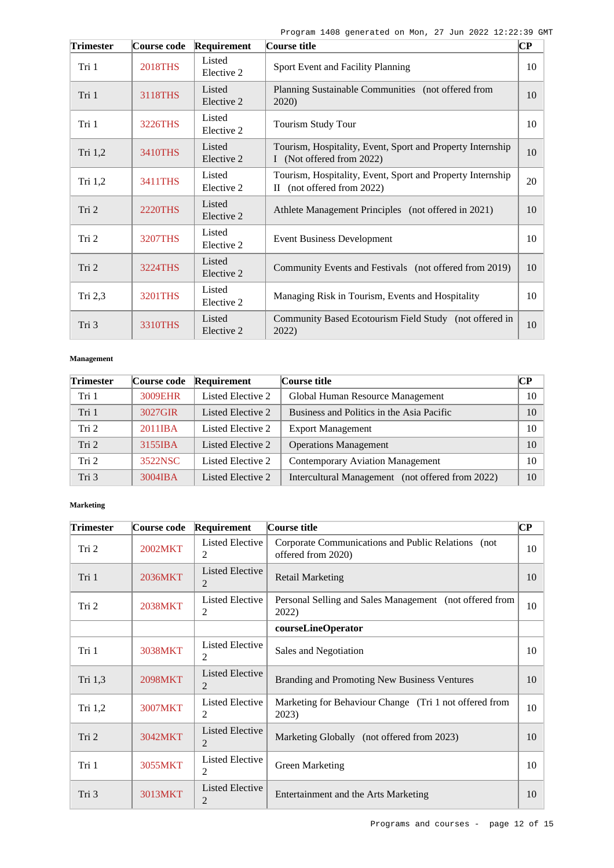Program 1408 generated on Mon, 27 Jun 2022 12:22:39 GMT

| <b>Trimester</b> | Course code    | Requirement          | Course title                                                                             | $\overline{\mathbf{C}\mathbf{P}}$ |
|------------------|----------------|----------------------|------------------------------------------------------------------------------------------|-----------------------------------|
| Tri 1            | <b>2018THS</b> | Listed<br>Elective 2 | Sport Event and Facility Planning                                                        | 10                                |
| Tri 1            | 3118THS        | Listed<br>Elective 2 | Planning Sustainable Communities (not offered from<br>2020)                              | 10                                |
| Tri 1            | 3226THS        | Listed<br>Elective 2 | <b>Tourism Study Tour</b>                                                                | 10                                |
| Tri 1,2          | 3410THS        | Listed<br>Elective 2 | Tourism, Hospitality, Event, Sport and Property Internship<br>I (Not offered from 2022)  | 10                                |
| Tri $1,2$        | 3411THS        | Listed<br>Elective 2 | Tourism, Hospitality, Event, Sport and Property Internship<br>II (not offered from 2022) | 20                                |
| Tri 2            | <b>2220THS</b> | Listed<br>Elective 2 | Athlete Management Principles (not offered in 2021)                                      | 10                                |
| Tri 2            | <b>3207THS</b> | Listed<br>Elective 2 | <b>Event Business Development</b>                                                        | 10                                |
| Tri 2            | 3224THS        | Listed<br>Elective 2 | Community Events and Festivals (not offered from 2019)                                   | 10                                |
| Tri 2,3          | 3201THS        | Listed<br>Elective 2 | Managing Risk in Tourism, Events and Hospitality                                         | 10                                |
| Tri 3            | 3310THS        | Listed<br>Elective 2 | Community Based Ecotourism Field Study (not offered in<br>2022)                          | 10                                |

#### **Management**

| <b>Trimester</b> | Course code | Requirement       | Course title                                     | CР |
|------------------|-------------|-------------------|--------------------------------------------------|----|
| Tri 1            | 3009EHR     | Listed Elective 2 | Global Human Resource Management                 | 10 |
| Tri 1            | 3027GIR     | Listed Elective 2 | Business and Politics in the Asia Pacific        | 10 |
| Tri 2            | 2011IBA     | Listed Elective 2 | <b>Export Management</b>                         | 10 |
| Tri 2            | 3155IBA     | Listed Elective 2 | <b>Operations Management</b>                     | 10 |
| Tri 2            | 3522NSC     | Listed Elective 2 | <b>Contemporary Aviation Management</b>          | 10 |
| Tri 3            | $3004$ IBA  | Listed Elective 2 | Intercultural Management (not offered from 2022) | 10 |

#### **Marketing**

| <b>Trimester</b> | Course code    | Requirement                 | Course title                                                             | $\bf CP$ |
|------------------|----------------|-----------------------------|--------------------------------------------------------------------------|----------|
| Tri 2            | 2002MKT        | <b>Listed Elective</b><br>2 | Corporate Communications and Public Relations (not<br>offered from 2020) | 10       |
| Tri 1            | 2036MKT        | <b>Listed Elective</b><br>2 | <b>Retail Marketing</b>                                                  | 10       |
| Tri 2            | <b>2038MKT</b> | Listed Elective<br>2        | Personal Selling and Sales Management (not offered from<br>2022)         | 10       |
|                  |                |                             | courseLineOperator                                                       |          |
| Tri 1            | 3038MKT        | <b>Listed Elective</b><br>2 | Sales and Negotiation                                                    | 10       |
| Tri 1.3          | 2098MKT        | <b>Listed Elective</b><br>2 | Branding and Promoting New Business Ventures                             | 10       |
| Tri 1,2          | 3007MKT        | Listed Elective<br>2        | Marketing for Behaviour Change (Tri 1 not offered from<br>2023)          | 10       |
| Tri 2            | 3042MKT        | <b>Listed Elective</b><br>2 | Marketing Globally (not offered from 2023)                               | 10       |
| Tri 1            | 3055MKT        | <b>Listed Elective</b><br>2 | Green Marketing                                                          | 10       |
| Tri 3            | 3013MKT        | <b>Listed Elective</b><br>2 | Entertainment and the Arts Marketing                                     | 10       |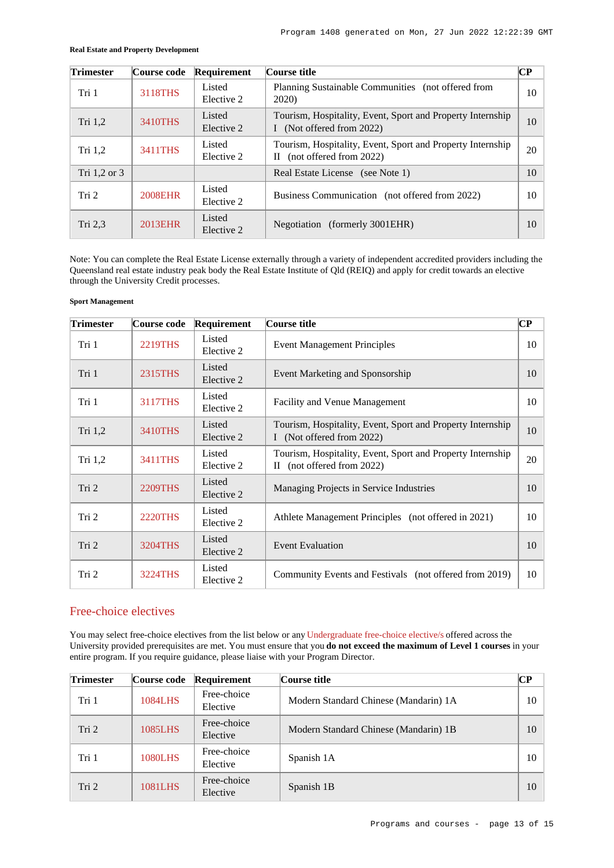| Trimester        | Course code | Requirement          | Course title                                                                                | CР |
|------------------|-------------|----------------------|---------------------------------------------------------------------------------------------|----|
| Tri 1            | 3118THS     | Listed<br>Elective 2 | Planning Sustainable Communities (not offered from<br><b>2020</b> )                         | 10 |
| Tri 1,2          | 3410THS     | Listed<br>Elective 2 | Tourism, Hospitality, Event, Sport and Property Internship<br>I (Not offered from 2022)     | 10 |
| Tri $1,2$        | 3411THS     | Listed<br>Elective 2 | Tourism, Hospitality, Event, Sport and Property Internship<br>(not offered from 2022)<br>Н. | 20 |
| Tri 1,2 or 3     |             |                      | Real Estate License (see Note 1)                                                            | 10 |
| Tri <sub>2</sub> | 2008EHR     | Listed<br>Elective 2 | Business Communication (not offered from 2022)                                              | 10 |
| Tri 2,3          | 2013EHR     | Listed<br>Elective 2 | Negotiation (formerly 3001EHR)                                                              | 10 |

#### **Real Estate and Property Development**

Note: You can complete the Real Estate License externally through a variety of independent accredited providers including the Queensland real estate industry peak body the Real Estate Institute of Qld (REIQ) and apply for credit towards an elective through the University Credit processes.

#### **Sport Management**

| <b>Trimester</b> | Course code    | Requirement          | Course title                                                                             | $\bf CP$ |
|------------------|----------------|----------------------|------------------------------------------------------------------------------------------|----------|
| Tri 1            | <b>2219THS</b> | Listed<br>Elective 2 | <b>Event Management Principles</b>                                                       | 10       |
| Tri 1            | 2315THS        | Listed<br>Elective 2 | Event Marketing and Sponsorship                                                          | 10       |
| Tri 1            | 3117THS        | Listed<br>Elective 2 | <b>Facility and Venue Management</b>                                                     | 10       |
| Tri 1,2          | 3410THS        | Listed<br>Elective 2 | Tourism, Hospitality, Event, Sport and Property Internship<br>I (Not offered from 2022)  | 10       |
| Tri 1,2          | 3411THS        | Listed<br>Elective 2 | Tourism, Hospitality, Event, Sport and Property Internship<br>II (not offered from 2022) | 20       |
| Tri 2            | 2209THS        | Listed<br>Elective 2 | Managing Projects in Service Industries                                                  | 10       |
| Tri 2            | <b>2220THS</b> | Listed<br>Elective 2 | Athlete Management Principles (not offered in 2021)                                      | 10       |
| Tri 2            | 3204THS        | Listed<br>Elective 2 | <b>Event Evaluation</b>                                                                  | 10       |
| Tri 2            | 3224THS        | Listed<br>Elective 2 | Community Events and Festivals (not offered from 2019)                                   | 10       |

### Free-choice electives

You may select free-choice electives from the list below or any [Undergraduate free-choice elective/s](https://www148.griffith.edu.au/programs-courses/Search/Results?SearchRequestType=CourseCatalogue&AcademicCareerName=UGRD&IsFreeChoiceElective=True) offered across the University provided prerequisites are met. You must ensure that you **do not exceed the maximum of Level 1 courses** in your entire program. If you require guidance, please liaise with your Program Director.

| <b>Trimester</b> | Course code    | Requirement             | Course title                          | $\bf CP$ |
|------------------|----------------|-------------------------|---------------------------------------|----------|
| Tri 1            | <b>1084LHS</b> | Free-choice<br>Elective | Modern Standard Chinese (Mandarin) 1A | 10       |
| Tri <sub>2</sub> | 1085LHS        | Free-choice<br>Elective | Modern Standard Chinese (Mandarin) 1B | 10       |
| Tri 1            | <b>1080LHS</b> | Free-choice<br>Elective | Spanish 1A                            | 10       |
| Tri <sub>2</sub> | 1081LHS        | Free-choice<br>Elective | Spanish 1B                            | 10       |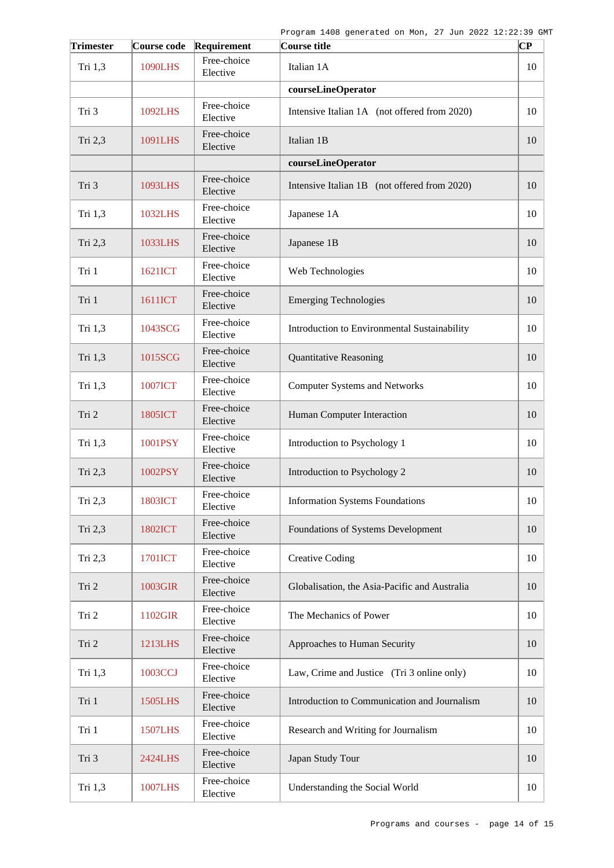| <b>Trimester</b> | Course code    | Requirement             | Course title                                  | CР |
|------------------|----------------|-------------------------|-----------------------------------------------|----|
| Tri 1,3          | <b>1090LHS</b> | Free-choice<br>Elective | Italian 1A                                    | 10 |
|                  |                |                         | courseLineOperator                            |    |
| Tri 3            | 1092LHS        | Free-choice<br>Elective | Intensive Italian 1A (not offered from 2020)  | 10 |
| Tri 2,3          | 1091LHS        | Free-choice<br>Elective | Italian 1B                                    | 10 |
|                  |                |                         | courseLineOperator                            |    |
| Tri 3            | 1093LHS        | Free-choice<br>Elective | Intensive Italian 1B (not offered from 2020)  | 10 |
| Tri 1,3          | 1032LHS        | Free-choice<br>Elective | Japanese 1A                                   | 10 |
| Tri 2,3          | 1033LHS        | Free-choice<br>Elective | Japanese 1B                                   | 10 |
| Tri 1            | 1621ICT        | Free-choice<br>Elective | Web Technologies                              | 10 |
| Tri 1            | 1611ICT        | Free-choice<br>Elective | <b>Emerging Technologies</b>                  | 10 |
| Tri 1,3          | 1043SCG        | Free-choice<br>Elective | Introduction to Environmental Sustainability  | 10 |
| Tri 1,3          | 1015SCG        | Free-choice<br>Elective | <b>Quantitative Reasoning</b>                 | 10 |
| Tri 1,3          | 1007ICT        | Free-choice<br>Elective | <b>Computer Systems and Networks</b>          | 10 |
| Tri 2            | 1805ICT        | Free-choice<br>Elective | Human Computer Interaction                    | 10 |
| Tri 1,3          | 1001PSY        | Free-choice<br>Elective | Introduction to Psychology 1                  | 10 |
| Tri 2,3          | 1002PSY        | Free-choice<br>Elective | Introduction to Psychology 2                  | 10 |
| Tri 2,3          | 1803ICT        | Free-choice<br>Elective | <b>Information Systems Foundations</b>        | 10 |
| Tri 2,3          | <b>1802ICT</b> | Free-choice<br>Elective | Foundations of Systems Development            | 10 |
| Tri 2,3          | 1701ICT        | Free-choice<br>Elective | <b>Creative Coding</b>                        | 10 |
| Tri 2            | 1003GIR        | Free-choice<br>Elective | Globalisation, the Asia-Pacific and Australia | 10 |
| Tri 2            | 1102GIR        | Free-choice<br>Elective | The Mechanics of Power                        | 10 |
| Tri 2            | <b>1213LHS</b> | Free-choice<br>Elective | Approaches to Human Security                  | 10 |
| Tri 1,3          | 1003CCJ        | Free-choice<br>Elective | Law, Crime and Justice (Tri 3 online only)    | 10 |
| Tri 1            | 1505LHS        | Free-choice<br>Elective | Introduction to Communication and Journalism  | 10 |
| Tri 1            | <b>1507LHS</b> | Free-choice<br>Elective | Research and Writing for Journalism           | 10 |
| Tri 3            | 2424LHS        | Free-choice<br>Elective | Japan Study Tour                              | 10 |
| Tri 1,3          | <b>1007LHS</b> | Free-choice<br>Elective | Understanding the Social World                | 10 |